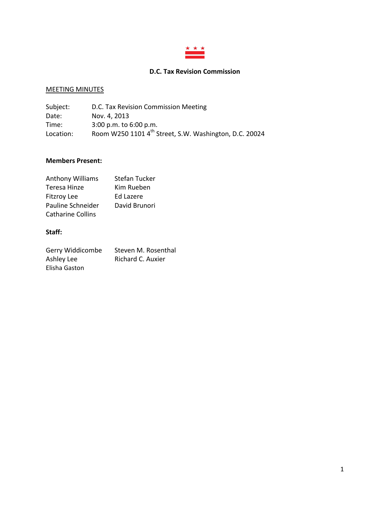

# **D.C. Tax Revision Commission**

# MEETING MINUTES

| Subject:  | D.C. Tax Revision Commission Meeting                               |
|-----------|--------------------------------------------------------------------|
| Date:     | Nov. 4, 2013                                                       |
| Time:     | $3:00$ p.m. to $6:00$ p.m.                                         |
| Location: | Room W250 1101 4 <sup>th</sup> Street, S.W. Washington, D.C. 20024 |

## **Members Present:**

| <b>Anthony Williams</b>  | <b>Stefan Tucker</b> |
|--------------------------|----------------------|
| Teresa Hinze             | Kim Rueben           |
| <b>Fitzroy Lee</b>       | Ed Lazere            |
| Pauline Schneider        | David Brunori        |
| <b>Catharine Collins</b> |                      |

# **Staff:**

| Gerry Widdicombe | Steven M. Rosenthal |
|------------------|---------------------|
| Ashley Lee       | Richard C. Auxier   |
| Elisha Gaston    |                     |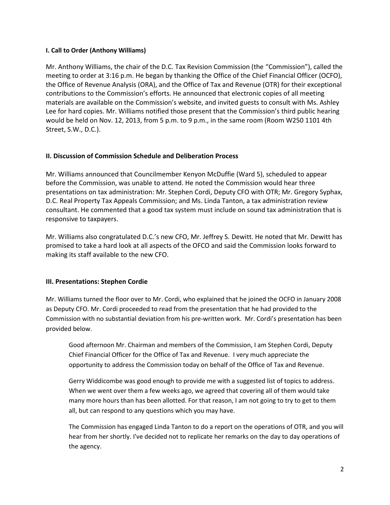## **I. Call to Order (Anthony Williams)**

Mr. Anthony Williams, the chair of the D.C. Tax Revision Commission (the "Commission"), called the meeting to order at 3:16 p.m. He began by thanking the Office of the Chief Financial Officer (OCFO), the Office of Revenue Analysis (ORA), and the Office of Tax and Revenue (OTR) for their exceptional contributions to the Commission's efforts. He announced that electronic copies of all meeting materials are available on the Commission's website, and invited guests to consult with Ms. Ashley Lee for hard copies. Mr. Williams notified those present that the Commission's third public hearing would be held on Nov. 12, 2013, from 5 p.m. to 9 p.m., in the same room (Room W250 1101 4th Street, S.W., D.C.).

## **II. Discussion of Commission Schedule and Deliberation Process**

Mr. Williams announced that Councilmember Kenyon McDuffie (Ward 5), scheduled to appear before the Commission, was unable to attend. He noted the Commission would hear three presentations on tax administration: Mr. Stephen Cordi, Deputy CFO with OTR; Mr. Gregory Syphax, D.C. Real Property Tax Appeals Commission; and Ms. Linda Tanton, a tax administration review consultant. He commented that a good tax system must include on sound tax administration that is responsive to taxpayers.

Mr. Williams also congratulated D.C.'s new CFO, Mr. Jeffrey S. Dewitt. He noted that Mr. Dewitt has promised to take a hard look at all aspects of the OFCO and said the Commission looks forward to making its staff available to the new CFO.

## **III. Presentations: Stephen Cordie**

Mr. Williams turned the floor over to Mr. Cordi, who explained that he joined the OCFO in January 2008 as Deputy CFO. Mr. Cordi proceeded to read from the presentation that he had provided to the Commission with no substantial deviation from his pre-written work. Mr. Cordi's presentation has been provided below.

Good afternoon Mr. Chairman and members of the Commission, I am Stephen Cordi, Deputy Chief Financial Officer for the Office of Tax and Revenue. I very much appreciate the opportunity to address the Commission today on behalf of the Office of Tax and Revenue.

Gerry Widdicombe was good enough to provide me with a suggested list of topics to address. When we went over them a few weeks ago, we agreed that covering all of them would take many more hours than has been allotted. For that reason, I am not going to try to get to them all, but can respond to any questions which you may have.

The Commission has engaged Linda Tanton to do a report on the operations of OTR, and you will hear from her shortly. I've decided not to replicate her remarks on the day to day operations of the agency.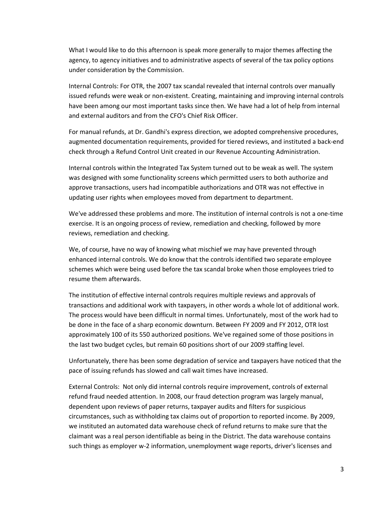What I would like to do this afternoon is speak more generally to major themes affecting the agency, to agency initiatives and to administrative aspects of several of the tax policy options under consideration by the Commission.

Internal Controls: For OTR, the 2007 tax scandal revealed that internal controls over manually issued refunds were weak or non-existent. Creating, maintaining and improving internal controls have been among our most important tasks since then. We have had a lot of help from internal and external auditors and from the CFO's Chief Risk Officer.

For manual refunds, at Dr. Gandhi's express direction, we adopted comprehensive procedures, augmented documentation requirements, provided for tiered reviews, and instituted a back-end check through a Refund Control Unit created in our Revenue Accounting Administration.

Internal controls within the Integrated Tax System turned out to be weak as well. The system was designed with some functionality screens which permitted users to both authorize and approve transactions, users had incompatible authorizations and OTR was not effective in updating user rights when employees moved from department to department.

We've addressed these problems and more. The institution of internal controls is not a one-time exercise. It is an ongoing process of review, remediation and checking, followed by more reviews, remediation and checking.

We, of course, have no way of knowing what mischief we may have prevented through enhanced internal controls. We do know that the controls identified two separate employee schemes which were being used before the tax scandal broke when those employees tried to resume them afterwards.

The institution of effective internal controls requires multiple reviews and approvals of transactions and additional work with taxpayers, in other words a whole lot of additional work. The process would have been difficult in normal times. Unfortunately, most of the work had to be done in the face of a sharp economic downturn. Between FY 2009 and FY 2012, OTR lost approximately 100 of its 550 authorized positions. We've regained some of those positions in the last two budget cycles, but remain 60 positions short of our 2009 staffing level.

Unfortunately, there has been some degradation of service and taxpayers have noticed that the pace of issuing refunds has slowed and call wait times have increased.

External Controls: Not only did internal controls require improvement, controls of external refund fraud needed attention. In 2008, our fraud detection program was largely manual, dependent upon reviews of paper returns, taxpayer audits and filters for suspicious circumstances, such as withholding tax claims out of proportion to reported income. By 2009, we instituted an automated data warehouse check of refund returns to make sure that the claimant was a real person identifiable as being in the District. The data warehouse contains such things as employer w-2 information, unemployment wage reports, driver's licenses and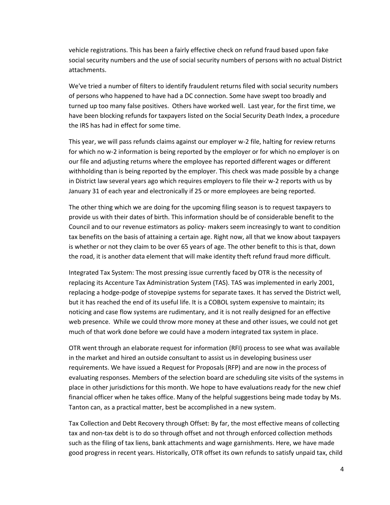vehicle registrations. This has been a fairly effective check on refund fraud based upon fake social security numbers and the use of social security numbers of persons with no actual District attachments.

We've tried a number of filters to identify fraudulent returns filed with social security numbers of persons who happened to have had a DC connection. Some have swept too broadly and turned up too many false positives. Others have worked well. Last year, for the first time, we have been blocking refunds for taxpayers listed on the Social Security Death Index, a procedure the IRS has had in effect for some time.

This year, we will pass refunds claims against our employer w-2 file, halting for review returns for which no w-2 information is being reported by the employer or for which no employer is on our file and adjusting returns where the employee has reported different wages or different withholding than is being reported by the employer. This check was made possible by a change in District law several years ago which requires employers to file their w-2 reports with us by January 31 of each year and electronically if 25 or more employees are being reported.

The other thing which we are doing for the upcoming filing season is to request taxpayers to provide us with their dates of birth. This information should be of considerable benefit to the Council and to our revenue estimators as policy- makers seem increasingly to want to condition tax benefits on the basis of attaining a certain age. Right now, all that we know about taxpayers is whether or not they claim to be over 65 years of age. The other benefit to this is that, down the road, it is another data element that will make identity theft refund fraud more difficult.

Integrated Tax System: The most pressing issue currently faced by OTR is the necessity of replacing its Accenture Tax Administration System (TAS). TAS was implemented in early 2001, replacing a hodge-podge of stovepipe systems for separate taxes. It has served the District well, but it has reached the end of its useful life. It is a COBOL system expensive to maintain; its noticing and case flow systems are rudimentary, and it is not really designed for an effective web presence. While we could throw more money at these and other issues, we could not get much of that work done before we could have a modern integrated tax system in place.

OTR went through an elaborate request for information (RFI) process to see what was available in the market and hired an outside consultant to assist us in developing business user requirements. We have issued a Request for Proposals (RFP) and are now in the process of evaluating responses. Members of the selection board are scheduling site visits of the systems in place in other jurisdictions for this month. We hope to have evaluations ready for the new chief financial officer when he takes office. Many of the helpful suggestions being made today by Ms. Tanton can, as a practical matter, best be accomplished in a new system.

Tax Collection and Debt Recovery through Offset: By far, the most effective means of collecting tax and non-tax debt is to do so through offset and not through enforced collection methods such as the filing of tax liens, bank attachments and wage garnishments. Here, we have made good progress in recent years. Historically, OTR offset its own refunds to satisfy unpaid tax, child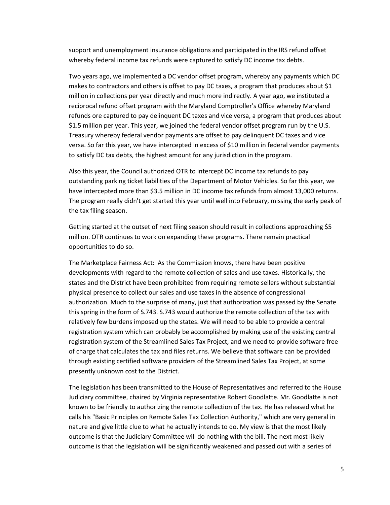support and unemployment insurance obligations and participated in the IRS refund offset whereby federal income tax refunds were captured to satisfy DC income tax debts.

Two years ago, we implemented a DC vendor offset program, whereby any payments which DC makes to contractors and others is offset to pay DC taxes, a program that produces about \$1 million in collections per year directly and much more indirectly. A year ago, we instituted a reciprocal refund offset program with the Maryland Comptroller's Office whereby Maryland refunds ore captured to pay delinquent DC taxes and vice versa, a program that produces about \$1.5 million per year. This year, we joined the federal vendor offset program run by the U.S. Treasury whereby federal vendor payments are offset to pay delinquent DC taxes and vice versa. So far this year, we have intercepted in excess of \$10 million in federal vendor payments to satisfy DC tax debts, the highest amount for any jurisdiction in the program.

Also this year, the Council authorized OTR to intercept DC income tax refunds to pay outstanding parking ticket liabilities of the Department of Motor Vehicles. So far this year, we have intercepted more than \$3.5 million in DC income tax refunds from almost 13,000 returns. The program really didn't get started this year until well into February, missing the early peak of the tax filing season.

Getting started at the outset of next filing season should result in collections approaching \$5 million. OTR continues to work on expanding these programs. There remain practical opportunities to do so.

The Marketplace Fairness Act: As the Commission knows, there have been positive developments with regard to the remote collection of sales and use taxes. Historically, the states and the District have been prohibited from requiring remote sellers without substantial physical presence to collect our sales and use taxes in the absence of congressional authorization. Much to the surprise of many, just that authorization was passed by the Senate this spring in the form of S.743. S.743 would authorize the remote collection of the tax with relatively few burdens imposed up the states. We will need to be able to provide a central registration system which can probably be accomplished by making use of the existing central registration system of the Streamlined Sales Tax Project, and we need to provide software free of charge that calculates the tax and files returns. We believe that software can be provided through existing certified software providers of the Streamlined Sales Tax Project, at some presently unknown cost to the District.

The legislation has been transmitted to the House of Representatives and referred to the House Judiciary committee, chaired by Virginia representative Robert Goodlatte. Mr. Goodlatte is not known to be friendly to authorizing the remote collection of the tax. He has released what he calls his "Basic Principles on Remote Sales Tax Collection Authority," which are very general in nature and give little clue to what he actually intends to do. My view is that the most likely outcome is that the Judiciary Committee will do nothing with the bill. The next most likely outcome is that the legislation will be significantly weakened and passed out with a series of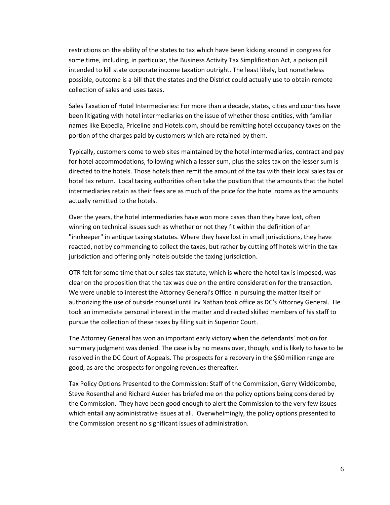restrictions on the ability of the states to tax which have been kicking around in congress for some time, including, in particular, the Business Activity Tax Simplification Act, a poison pill intended to kill state corporate income taxation outright. The least likely, but nonetheless possible, outcome is a bill that the states and the District could actually use to obtain remote collection of sales and uses taxes.

Sales Taxation of Hotel Intermediaries: For more than a decade, states, cities and counties have been litigating with hotel intermediaries on the issue of whether those entities, with familiar names like Expedia, Priceline and Hotels.com, should be remitting hotel occupancy taxes on the portion of the charges paid by customers which are retained by them.

Typically, customers come to web sites maintained by the hotel intermediaries, contract and pay for hotel accommodations, following which a lesser sum, plus the sales tax on the lesser sum is directed to the hotels. Those hotels then remit the amount of the tax with their local sales tax or hotel tax return. Local taxing authorities often take the position that the amounts that the hotel intermediaries retain as their fees are as much of the price for the hotel rooms as the amounts actually remitted to the hotels.

Over the years, the hotel intermediaries have won more cases than they have lost, often winning on technical issues such as whether or not they fit within the definition of an "innkeeper" in antique taxing statutes. Where they have lost in small jurisdictions, they have reacted, not by commencing to collect the taxes, but rather by cutting off hotels within the tax jurisdiction and offering only hotels outside the taxing jurisdiction.

OTR felt for some time that our sales tax statute, which is where the hotel tax is imposed, was clear on the proposition that the tax was due on the entire consideration for the transaction. We were unable to interest the Attorney General's Office in pursuing the matter itself or authorizing the use of outside counsel until Irv Nathan took office as DC's Attorney General. He took an immediate personal interest in the matter and directed skilled members of his staff to pursue the collection of these taxes by filing suit in Superior Court.

The Attorney General has won an important early victory when the defendants' motion for summary judgment was denied. The case is by no means over, though, and is likely to have to be resolved in the DC Court of Appeals. The prospects for a recovery in the \$60 million range are good, as are the prospects for ongoing revenues thereafter.

Tax Policy Options Presented to the Commission: Staff of the Commission, Gerry Widdicombe, Steve Rosenthal and Richard Auxier has briefed me on the policy options being considered by the Commission. They have been good enough to alert the Commission to the very few issues which entail any administrative issues at all. Overwhelmingly, the policy options presented to the Commission present no significant issues of administration.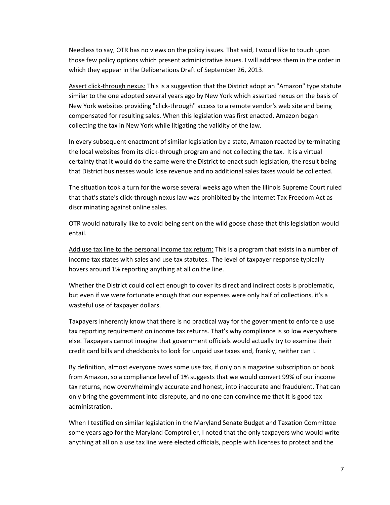Needless to say, OTR has no views on the policy issues. That said, I would like to touch upon those few policy options which present administrative issues. I will address them in the order in which they appear in the Deliberations Draft of September 26, 2013.

Assert click-through nexus: This is a suggestion that the District adopt an "Amazon" type statute similar to the one adopted several years ago by New York which asserted nexus on the basis of New York websites providing "click-through" access to a remote vendor's web site and being compensated for resulting sales. When this legislation was first enacted, Amazon began collecting the tax in New York while litigating the validity of the law.

In every subsequent enactment of similar legislation by a state, Amazon reacted by terminating the local websites from its click-through program and not collecting the tax. It is a virtual certainty that it would do the same were the District to enact such legislation, the result being that District businesses would lose revenue and no additional sales taxes would be collected.

The situation took a turn for the worse several weeks ago when the Illinois Supreme Court ruled that that's state's click-through nexus law was prohibited by the Internet Tax Freedom Act as discriminating against online sales.

OTR would naturally like to avoid being sent on the wild goose chase that this legislation would entail.

Add use tax line to the personal income tax return: This is a program that exists in a number of income tax states with sales and use tax statutes. The level of taxpayer response typically hovers around 1% reporting anything at all on the line.

Whether the District could collect enough to cover its direct and indirect costs is problematic, but even if we were fortunate enough that our expenses were only half of collections, it's a wasteful use of taxpayer dollars.

Taxpayers inherently know that there is no practical way for the government to enforce a use tax reporting requirement on income tax returns. That's why compliance is so low everywhere else. Taxpayers cannot imagine that government officials would actually try to examine their credit card bills and checkbooks to look for unpaid use taxes and, frankly, neither can I.

By definition, almost everyone owes some use tax, if only on a magazine subscription or book from Amazon, so a compliance level of 1% suggests that we would convert 99% of our income tax returns, now overwhelmingly accurate and honest, into inaccurate and fraudulent. That can only bring the government into disrepute, and no one can convince me that it is good tax administration.

When I testified on similar legislation in the Maryland Senate Budget and Taxation Committee some years ago for the Maryland Comptroller, I noted that the only taxpayers who would write anything at all on a use tax line were elected officials, people with licenses to protect and the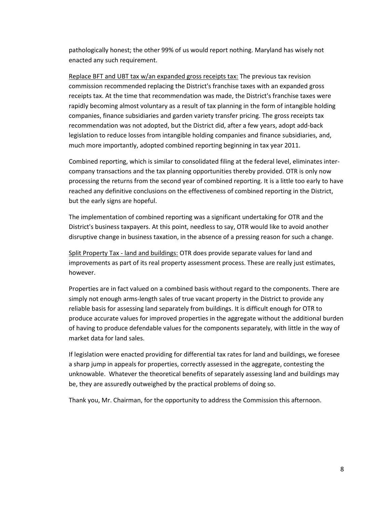pathologically honest; the other 99% of us would report nothing. Maryland has wisely not enacted any such requirement.

Replace BFT and UBT tax w/an expanded gross receipts tax: The previous tax revision commission recommended replacing the District's franchise taxes with an expanded gross receipts tax. At the time that recommendation was made, the District's franchise taxes were rapidly becoming almost voluntary as a result of tax planning in the form of intangible holding companies, finance subsidiaries and garden variety transfer pricing. The gross receipts tax recommendation was not adopted, but the District did, after a few years, adopt add-back legislation to reduce losses from intangible holding companies and finance subsidiaries, and, much more importantly, adopted combined reporting beginning in tax year 2011.

Combined reporting, which is similar to consolidated filing at the federal level, eliminates intercompany transactions and the tax planning opportunities thereby provided. OTR is only now processing the returns from the second year of combined reporting. It is a little too early to have reached any definitive conclusions on the effectiveness of combined reporting in the District, but the early signs are hopeful.

The implementation of combined reporting was a significant undertaking for OTR and the District's business taxpayers. At this point, needless to say, OTR would like to avoid another disruptive change in business taxation, in the absence of a pressing reason for such a change.

Split Property Tax - land and buildings: OTR does provide separate values for land and improvements as part of its real property assessment process. These are really just estimates, however.

Properties are in fact valued on a combined basis without regard to the components. There are simply not enough arms-length sales of true vacant property in the District to provide any reliable basis for assessing land separately from buildings. It is difficult enough for OTR to produce accurate values for improved properties in the aggregate without the additional burden of having to produce defendable values for the components separately, with little in the way of market data for land sales.

If legislation were enacted providing for differential tax rates for land and buildings, we foresee a sharp jump in appeals for properties, correctly assessed in the aggregate, contesting the unknowable. Whatever the theoretical benefits of separately assessing land and buildings may be, they are assuredly outweighed by the practical problems of doing so.

Thank you, Mr. Chairman, for the opportunity to address the Commission this afternoon.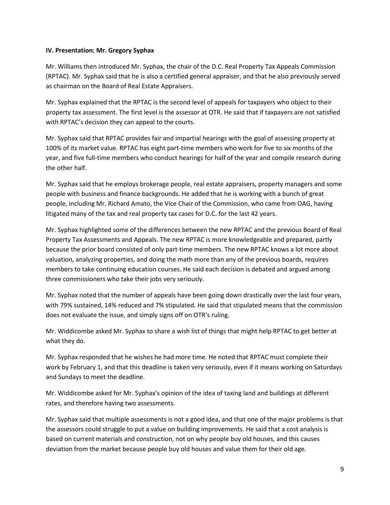### **IV. Presentation: Mr. Gregory Syphax**

Mr. Williams then introduced Mr. Syphax, the chair of the D.C. Real Property Tax Appeals Commission (RPTAC). Mr. Syphax said that he is also a certified general appraiser, and that he also previously served as chairman on the Board of Real Estate Appraisers.

Mr. Syphax explained that the RPTAC is the second level of appeals for taxpayers who object to their property tax assessment. The first level is the assessor at OTR. He said that if taxpayers are not satisfied with RPTAC's decision they can appeal to the courts.

Mr. Syphax said that RPTAC provides fair and impartial hearings with the goal of assessing property at 100% of its market value. RPTAC has eight part-time members who work for five to six months of the year, and five full-time members who conduct hearings for half of the year and compile research during the other half.

Mr. Syphax said that he employs brokerage people, real estate appraisers, property managers and some people with business and finance backgrounds. He added that he is working with a bunch of great people, including Mr. Richard Amato, the Vice Chair of the Commission, who came from OAG, having litigated many of the tax and real property tax cases for D.C. for the last 42 years.

Mr. Syphax highlighted some of the differences between the new RPTAC and the previous Board of Real Property Tax Assessments and Appeals. The new RPTAC is more knowledgeable and prepared, partly because the prior board consisted of only part-time members. The new RPTAC knows a lot more about valuation, analyzing properties, and doing the math more than any of the previous boards, requires members to take continuing education courses. He said each decision is debated and argued among three commissioners who take their jobs very seriously.

Mr. Syphax noted that the number of appeals have been going down drastically over the last four years, with 79% sustained, 14% reduced and 7% stipulated. He said that stipulated means that the commission does not evaluate the issue, and simply signs off on OTR's ruling.

Mr. Widdicombe asked Mr. Syphax to share a wish list of things that might help RPTAC to get better at what they do.

Mr. Syphax responded that he wishes he had more time. He noted that RPTAC must complete their work by February 1, and that this deadline is taken very seriously, even if it means working on Saturdays and Sundays to meet the deadline.

Mr. Widdicombe asked for Mr. Syphax's opinion of the idea of taxing land and buildings at different rates, and therefore having two assessments.

Mr. Syphax said that multiple assessments is not a good idea, and that one of the major problems is that the assessors could struggle to put a value on building improvements. He said that a cost analysis is based on current materials and construction, not on why people buy old houses, and this causes deviation from the market because people buy old houses and value them for their old age.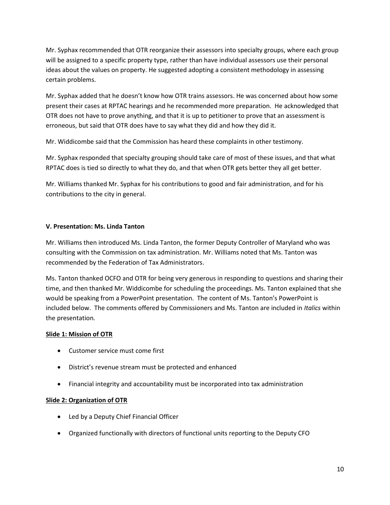Mr. Syphax recommended that OTR reorganize their assessors into specialty groups, where each group will be assigned to a specific property type, rather than have individual assessors use their personal ideas about the values on property. He suggested adopting a consistent methodology in assessing certain problems.

Mr. Syphax added that he doesn't know how OTR trains assessors. He was concerned about how some present their cases at RPTAC hearings and he recommended more preparation. He acknowledged that OTR does not have to prove anything, and that it is up to petitioner to prove that an assessment is erroneous, but said that OTR does have to say what they did and how they did it.

Mr. Widdicombe said that the Commission has heard these complaints in other testimony.

Mr. Syphax responded that specialty grouping should take care of most of these issues, and that what RPTAC does is tied so directly to what they do, and that when OTR gets better they all get better.

Mr. Williams thanked Mr. Syphax for his contributions to good and fair administration, and for his contributions to the city in general.

## **V. Presentation: Ms. Linda Tanton**

Mr. Williams then introduced Ms. Linda Tanton, the former Deputy Controller of Maryland who was consulting with the Commission on tax administration. Mr. Williams noted that Ms. Tanton was recommended by the Federation of Tax Administrators.

Ms. Tanton thanked OCFO and OTR for being very generous in responding to questions and sharing their time, and then thanked Mr. Widdicombe for scheduling the proceedings. Ms. Tanton explained that she would be speaking from a PowerPoint presentation. The content of Ms. Tanton's PowerPoint is included below. The comments offered by Commissioners and Ms. Tanton are included in *Italics* within the presentation*.* 

### **Slide 1: Mission of OTR**

- Customer service must come first
- District's revenue stream must be protected and enhanced
- Financial integrity and accountability must be incorporated into tax administration

### **Slide 2: Organization of OTR**

- Led by a Deputy Chief Financial Officer
- Organized functionally with directors of functional units reporting to the Deputy CFO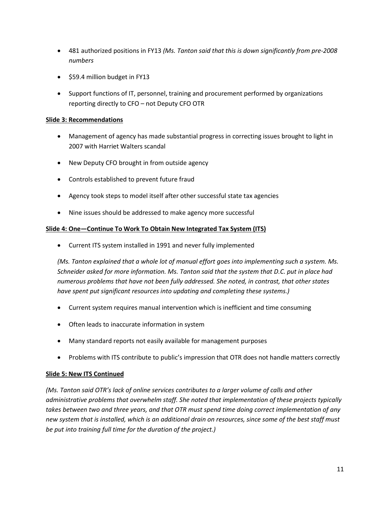- 481 authorized positions in FY13 *(Ms. Tanton said that this is down significantly from pre-2008 numbers*
- \$59.4 million budget in FY13
- Support functions of IT, personnel, training and procurement performed by organizations reporting directly to CFO – not Deputy CFO OTR

## **Slide 3: Recommendations**

- Management of agency has made substantial progress in correcting issues brought to light in 2007 with Harriet Walters scandal
- New Deputy CFO brought in from outside agency
- Controls established to prevent future fraud
- Agency took steps to model itself after other successful state tax agencies
- Nine issues should be addressed to make agency more successful

## **Slide 4: One—Continue To Work To Obtain New Integrated Tax System (ITS)**

Current ITS system installed in 1991 and never fully implemented

*(Ms. Tanton explained that a whole lot of manual effort goes into implementing such a system. Ms. Schneider asked for more information. Ms. Tanton said that the system that D.C. put in place had numerous problems that have not been fully addressed. She noted, in contrast, that other states have spent put significant resources into updating and completing these systems.)*

- Current system requires manual intervention which is inefficient and time consuming
- Often leads to inaccurate information in system
- Many standard reports not easily available for management purposes
- Problems with ITS contribute to public's impression that OTR does not handle matters correctly

### **Slide 5: New ITS Continued**

*(Ms. Tanton said OTR's lack of online services contributes to a larger volume of calls and other administrative problems that overwhelm staff. She noted that implementation of these projects typically takes between two and three years, and that OTR must spend time doing correct implementation of any new system that is installed, which is an additional drain on resources, since some of the best staff must be put into training full time for the duration of the project.)*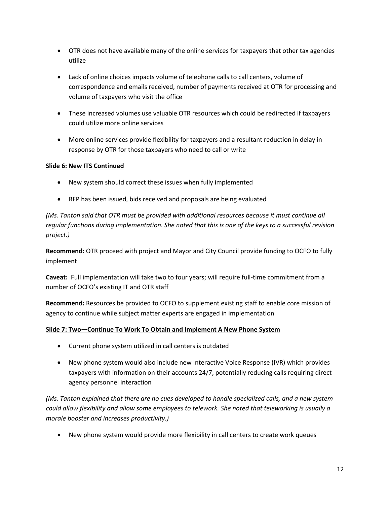- OTR does not have available many of the online services for taxpayers that other tax agencies utilize
- Lack of online choices impacts volume of telephone calls to call centers, volume of correspondence and emails received, number of payments received at OTR for processing and volume of taxpayers who visit the office
- These increased volumes use valuable OTR resources which could be redirected if taxpayers could utilize more online services
- More online services provide flexibility for taxpayers and a resultant reduction in delay in response by OTR for those taxpayers who need to call or write

## **Slide 6: New ITS Continued**

- New system should correct these issues when fully implemented
- RFP has been issued, bids received and proposals are being evaluated

*(Ms. Tanton said that OTR must be provided with additional resources because it must continue all regular functions during implementation. She noted that this is one of the keys to a successful revision project.)*

**Recommend:** OTR proceed with project and Mayor and City Council provide funding to OCFO to fully implement

**Caveat:** Full implementation will take two to four years; will require full-time commitment from a number of OCFO's existing IT and OTR staff

**Recommend:** Resources be provided to OCFO to supplement existing staff to enable core mission of agency to continue while subject matter experts are engaged in implementation

## **Slide 7: Two—Continue To Work To Obtain and Implement A New Phone System**

- Current phone system utilized in call centers is outdated
- New phone system would also include new Interactive Voice Response (IVR) which provides taxpayers with information on their accounts 24/7, potentially reducing calls requiring direct agency personnel interaction

*(Ms. Tanton explained that there are no cues developed to handle specialized calls, and a new system could allow flexibility and allow some employees to telework. She noted that teleworking is usually a morale booster and increases productivity.)* 

New phone system would provide more flexibility in call centers to create work queues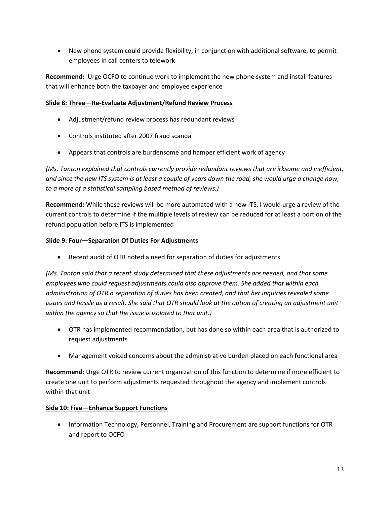New phone system could provide flexibility, in conjunction with additional software, to permit employees in call centers to telework

**Recommend:** Urge OCFO to continue work to implement the new phone system and install features that will enhance both the taxpayer and employee experience

## **Slide 8: Three—Re-Evaluate Adjustment/Refund Review Process**

- Adjustment/refund review process has redundant reviews
- Controls instituted after 2007 fraud scandal
- Appears that controls are burdensome and hamper efficient work of agency

*(Ms. Tanton explained that controls currently provide redundant reviews that are irksome and inefficient, and since the new ITS system is at least a couple of years down the road, she would urge a change now, to a more of a statistical sampling based method of reviews.)*

**Recommend:** While these reviews will be more automated with a new ITS, I would urge a review of the current controls to determine if the multiple levels of review can be reduced for at least a portion of the refund population before ITS is implemented

## **Slide 9: Four—Separation Of Duties For Adjustments**

• Recent audit of OTR noted a need for separation of duties for adjustments

*(Ms. Tanton said that a recent study determined that these adjustments are needed, and that some employees who could request adjustments could also approve them. She added that within each administration of OTR a separation of duties has been created, and that her inquiries revealed some issues and hassle as a result. She said that OTR should look at the option of creating an adjustment unit within the agency so that the issue is isolated to that unit.)*

- OTR has implemented recommendation, but has done so within each area that is authorized to request adjustments
- Management voiced concerns about the administrative burden placed on each functional area

**Recommend:** Urge OTR to review current organization of this function to determine if more efficient to create one unit to perform adjustments requested throughout the agency and implement controls within that unit

### **Side 10: Five—Enhance Support Functions**

• Information Technology, Personnel, Training and Procurement are support functions for OTR and report to OCFO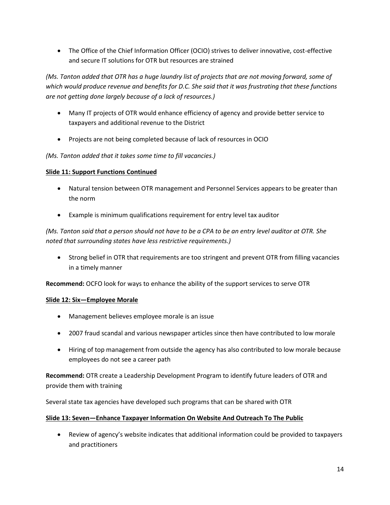The Office of the Chief Information Officer (OCIO) strives to deliver innovative, cost-effective and secure IT solutions for OTR but resources are strained

*(Ms. Tanton added that OTR has a huge laundry list of projects that are not moving forward, some of which would produce revenue and benefits for D.C. She said that it was frustrating that these functions are not getting done largely because of a lack of resources.)*

- Many IT projects of OTR would enhance efficiency of agency and provide better service to taxpayers and additional revenue to the District
- Projects are not being completed because of lack of resources in OCIO

*(Ms. Tanton added that it takes some time to fill vacancies.)* 

## **Slide 11: Support Functions Continued**

- Natural tension between OTR management and Personnel Services appears to be greater than the norm
- Example is minimum qualifications requirement for entry level tax auditor

*(Ms. Tanton said that a person should not have to be a CPA to be an entry level auditor at OTR. She noted that surrounding states have less restrictive requirements.)*

 Strong belief in OTR that requirements are too stringent and prevent OTR from filling vacancies in a timely manner

**Recommend:** OCFO look for ways to enhance the ability of the support services to serve OTR

## **Slide 12: Six—Employee Morale**

- Management believes employee morale is an issue
- 2007 fraud scandal and various newspaper articles since then have contributed to low morale
- Hiring of top management from outside the agency has also contributed to low morale because employees do not see a career path

**Recommend:** OTR create a Leadership Development Program to identify future leaders of OTR and provide them with training

Several state tax agencies have developed such programs that can be shared with OTR

## **Slide 13: Seven—Enhance Taxpayer Information On Website And Outreach To The Public**

 Review of agency's website indicates that additional information could be provided to taxpayers and practitioners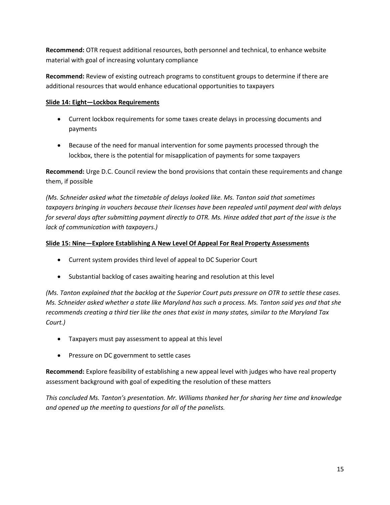**Recommend:** OTR request additional resources, both personnel and technical, to enhance website material with goal of increasing voluntary compliance

**Recommend:** Review of existing outreach programs to constituent groups to determine if there are additional resources that would enhance educational opportunities to taxpayers

## **Slide 14: Eight—Lockbox Requirements**

- Current lockbox requirements for some taxes create delays in processing documents and payments
- Because of the need for manual intervention for some payments processed through the lockbox, there is the potential for misapplication of payments for some taxpayers

**Recommend:** Urge D.C. Council review the bond provisions that contain these requirements and change them, if possible

*(Ms. Schneider asked what the timetable of delays looked like. Ms. Tanton said that sometimes taxpayers bringing in vouchers because their licenses have been repealed until payment deal with delays for several days after submitting payment directly to OTR. Ms. Hinze added that part of the issue is the lack of communication with taxpayers.)*

## **Slide 15: Nine—Explore Establishing A New Level Of Appeal For Real Property Assessments**

- Current system provides third level of appeal to DC Superior Court
- Substantial backlog of cases awaiting hearing and resolution at this level

*(Ms. Tanton explained that the backlog at the Superior Court puts pressure on OTR to settle these cases. Ms. Schneider asked whether a state like Maryland has such a process. Ms. Tanton said yes and that she recommends creating a third tier like the ones that exist in many states, similar to the Maryland Tax Court.)*

- Taxpayers must pay assessment to appeal at this level
- Pressure on DC government to settle cases

**Recommend:** Explore feasibility of establishing a new appeal level with judges who have real property assessment background with goal of expediting the resolution of these matters

*This concluded Ms. Tanton's presentation. Mr. Williams thanked her for sharing her time and knowledge and opened up the meeting to questions for all of the panelists.*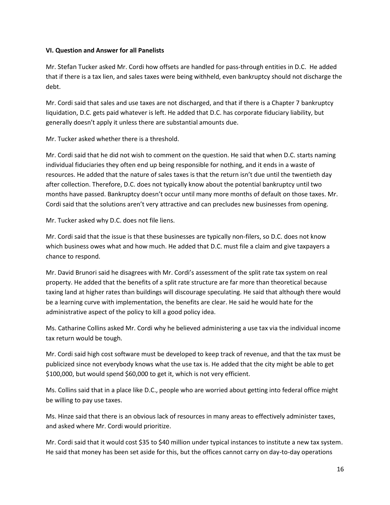### **VI. Question and Answer for all Panelists**

Mr. Stefan Tucker asked Mr. Cordi how offsets are handled for pass-through entities in D.C. He added that if there is a tax lien, and sales taxes were being withheld, even bankruptcy should not discharge the debt.

Mr. Cordi said that sales and use taxes are not discharged, and that if there is a Chapter 7 bankruptcy liquidation, D.C. gets paid whatever is left. He added that D.C. has corporate fiduciary liability, but generally doesn't apply it unless there are substantial amounts due.

Mr. Tucker asked whether there is a threshold.

Mr. Cordi said that he did not wish to comment on the question. He said that when D.C. starts naming individual fiduciaries they often end up being responsible for nothing, and it ends in a waste of resources. He added that the nature of sales taxes is that the return isn't due until the twentieth day after collection. Therefore, D.C. does not typically know about the potential bankruptcy until two months have passed. Bankruptcy doesn't occur until many more months of default on those taxes. Mr. Cordi said that the solutions aren't very attractive and can precludes new businesses from opening.

Mr. Tucker asked why D.C. does not file liens.

Mr. Cordi said that the issue is that these businesses are typically non-filers, so D.C. does not know which business owes what and how much. He added that D.C. must file a claim and give taxpayers a chance to respond.

Mr. David Brunori said he disagrees with Mr. Cordi's assessment of the split rate tax system on real property. He added that the benefits of a split rate structure are far more than theoretical because taxing land at higher rates than buildings will discourage speculating. He said that although there would be a learning curve with implementation, the benefits are clear. He said he would hate for the administrative aspect of the policy to kill a good policy idea.

Ms. Catharine Collins asked Mr. Cordi why he believed administering a use tax via the individual income tax return would be tough.

Mr. Cordi said high cost software must be developed to keep track of revenue, and that the tax must be publicized since not everybody knows what the use tax is. He added that the city might be able to get \$100,000, but would spend \$60,000 to get it, which is not very efficient.

Ms. Collins said that in a place like D.C., people who are worried about getting into federal office might be willing to pay use taxes.

Ms. Hinze said that there is an obvious lack of resources in many areas to effectively administer taxes, and asked where Mr. Cordi would prioritize.

Mr. Cordi said that it would cost \$35 to \$40 million under typical instances to institute a new tax system. He said that money has been set aside for this, but the offices cannot carry on day-to-day operations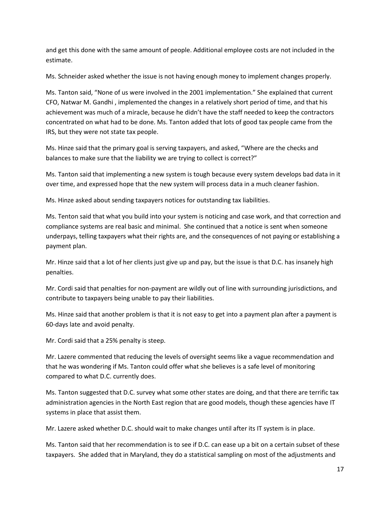and get this done with the same amount of people. Additional employee costs are not included in the estimate.

Ms. Schneider asked whether the issue is not having enough money to implement changes properly.

Ms. Tanton said, "None of us were involved in the 2001 implementation." She explained that current CFO, Natwar M. Gandhi , implemented the changes in a relatively short period of time, and that his achievement was much of a miracle, because he didn't have the staff needed to keep the contractors concentrated on what had to be done. Ms. Tanton added that lots of good tax people came from the IRS, but they were not state tax people.

Ms. Hinze said that the primary goal is serving taxpayers, and asked, "Where are the checks and balances to make sure that the liability we are trying to collect is correct?"

Ms. Tanton said that implementing a new system is tough because every system develops bad data in it over time, and expressed hope that the new system will process data in a much cleaner fashion.

Ms. Hinze asked about sending taxpayers notices for outstanding tax liabilities.

Ms. Tenton said that what you build into your system is noticing and case work, and that correction and compliance systems are real basic and minimal. She continued that a notice is sent when someone underpays, telling taxpayers what their rights are, and the consequences of not paying or establishing a payment plan.

Mr. Hinze said that a lot of her clients just give up and pay, but the issue is that D.C. has insanely high penalties.

Mr. Cordi said that penalties for non-payment are wildly out of line with surrounding jurisdictions, and contribute to taxpayers being unable to pay their liabilities.

Ms. Hinze said that another problem is that it is not easy to get into a payment plan after a payment is 60-days late and avoid penalty.

Mr. Cordi said that a 25% penalty is steep.

Mr. Lazere commented that reducing the levels of oversight seems like a vague recommendation and that he was wondering if Ms. Tanton could offer what she believes is a safe level of monitoring compared to what D.C. currently does.

Ms. Tanton suggested that D.C. survey what some other states are doing, and that there are terrific tax administration agencies in the North East region that are good models, though these agencies have IT systems in place that assist them.

Mr. Lazere asked whether D.C. should wait to make changes until after its IT system is in place.

Ms. Tanton said that her recommendation is to see if D.C. can ease up a bit on a certain subset of these taxpayers. She added that in Maryland, they do a statistical sampling on most of the adjustments and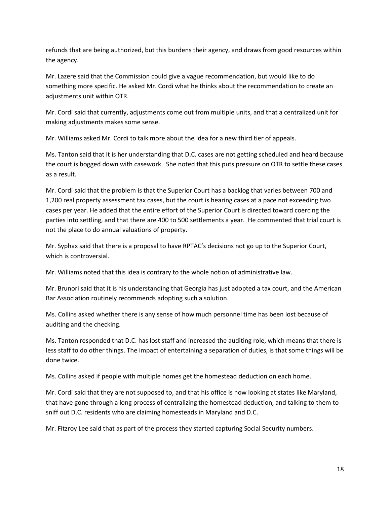refunds that are being authorized, but this burdens their agency, and draws from good resources within the agency.

Mr. Lazere said that the Commission could give a vague recommendation, but would like to do something more specific. He asked Mr. Cordi what he thinks about the recommendation to create an adjustments unit within OTR.

Mr. Cordi said that currently, adjustments come out from multiple units, and that a centralized unit for making adjustments makes some sense.

Mr. Williams asked Mr. Cordi to talk more about the idea for a new third tier of appeals.

Ms. Tanton said that it is her understanding that D.C. cases are not getting scheduled and heard because the court is bogged down with casework. She noted that this puts pressure on OTR to settle these cases as a result.

Mr. Cordi said that the problem is that the Superior Court has a backlog that varies between 700 and 1,200 real property assessment tax cases, but the court is hearing cases at a pace not exceeding two cases per year. He added that the entire effort of the Superior Court is directed toward coercing the parties into settling, and that there are 400 to 500 settlements a year. He commented that trial court is not the place to do annual valuations of property.

Mr. Syphax said that there is a proposal to have RPTAC's decisions not go up to the Superior Court, which is controversial.

Mr. Williams noted that this idea is contrary to the whole notion of administrative law.

Mr. Brunori said that it is his understanding that Georgia has just adopted a tax court, and the American Bar Association routinely recommends adopting such a solution.

Ms. Collins asked whether there is any sense of how much personnel time has been lost because of auditing and the checking.

Ms. Tanton responded that D.C. has lost staff and increased the auditing role, which means that there is less staff to do other things. The impact of entertaining a separation of duties, is that some things will be done twice.

Ms. Collins asked if people with multiple homes get the homestead deduction on each home.

Mr. Cordi said that they are not supposed to, and that his office is now looking at states like Maryland, that have gone through a long process of centralizing the homestead deduction, and talking to them to sniff out D.C. residents who are claiming homesteads in Maryland and D.C.

Mr. Fitzroy Lee said that as part of the process they started capturing Social Security numbers.